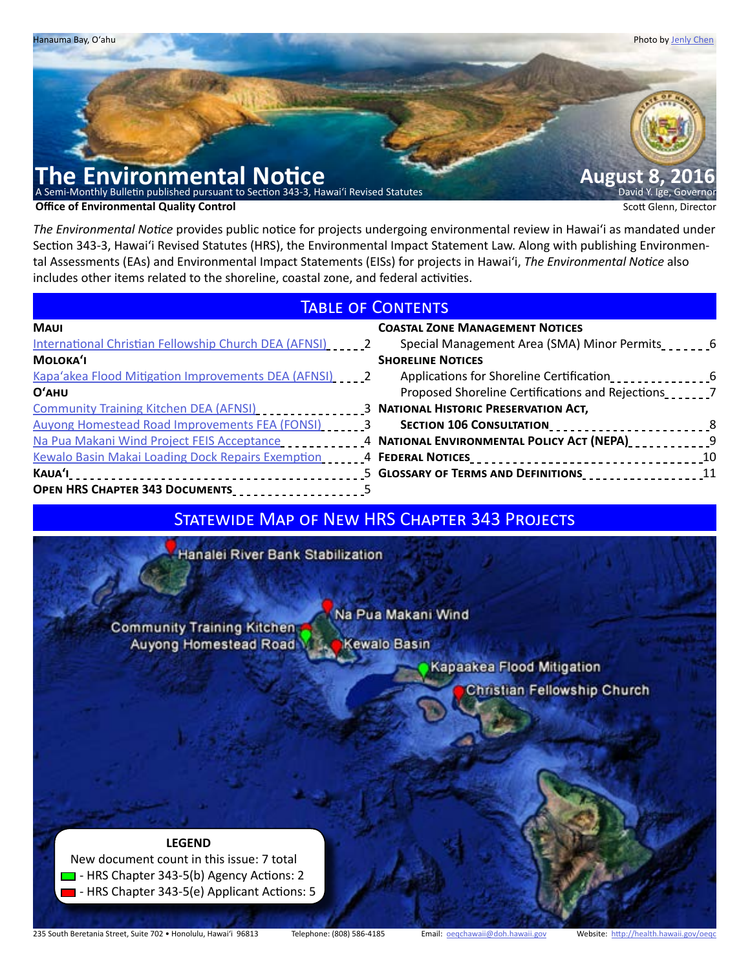

*The Environmental Notice* provides public notice for projects undergoing environmental review in Hawaiʻi as mandated under Section 343-3, Hawaiʻi Revised Statutes (HRS), the Environmental Impact Statement Law. Along with publishing Environmental Assessments (EAs) and Environmental Impact Statements (EISs) for projects in Hawaiʻi, *The Environmental Notice* also includes other items related to the shoreline, coastal zone, and federal activities.

# **TABLE OF CONTENTS**

| <b>MAUI</b>                                                  | <b>COASTAL ZONE MANAGEMENT NOTICES</b>                                                                                                                                                                                         |
|--------------------------------------------------------------|--------------------------------------------------------------------------------------------------------------------------------------------------------------------------------------------------------------------------------|
| International Christian Fellowship Church DEA (AFNSI) [11] 2 | Special Management Area (SMA) Minor Permits_______6                                                                                                                                                                            |
| <b>MOLOKA'I</b>                                              | <b>SHORELINE NOTICES</b>                                                                                                                                                                                                       |
| Kapa'akea Flood Mitigation Improvements DEA (AFNSI)          | Applications for Shoreline Certification                                                                                                                                                                                       |
| O'AHU                                                        | Proposed Shoreline Certifications and Rejections                                                                                                                                                                               |
| Community Training Kitchen DEA (AFNSI)                       | 3 NATIONAL HISTORIC PRESERVATION ACT,                                                                                                                                                                                          |
| Auyong Homestead Road Improvements FEA (FONSI)               | SECTION 106 CONSULTATION____________________________8                                                                                                                                                                          |
|                                                              | Na Pua Makani Wind Project FEIS Acceptance _____________4 NATIONAL ENVIRONMENTAL POLICY ACT (NEPA)_____________9                                                                                                               |
|                                                              | Kewalo Basin Makai Loading Dock Repairs Exemption [10] 14 FEDERAL NOTICES [10] 10 [10] 10 [10] 10 [10] 10 [10] North Capital State State State State State State State State State State State State State State State State S |
|                                                              | 5 GLOSSARY OF TERMS AND DEFINITIONS __________________11                                                                                                                                                                       |
| OPEN HRS CHAPTER 343 DOCUMENTS_________________5             |                                                                                                                                                                                                                                |

# STATEWIDE MAP OF NEW HRS CHAPTER 343 PROJECTS

Hanalei River Bank Stabilization

**Community Training Kitchen** Auyong Homestead Road

Na Pua Makani Wind

Kewalo Basin

Kapaakea Flood Mitigation

**Christian Fellowship Church** 

# **LEGEND**

 New document count in this issue: 7 total  $\Box$  - HRS Chapter 343-5(b) Agency Actions: 2 - HRS Chapter 343-5(e) Applicant Actions: 5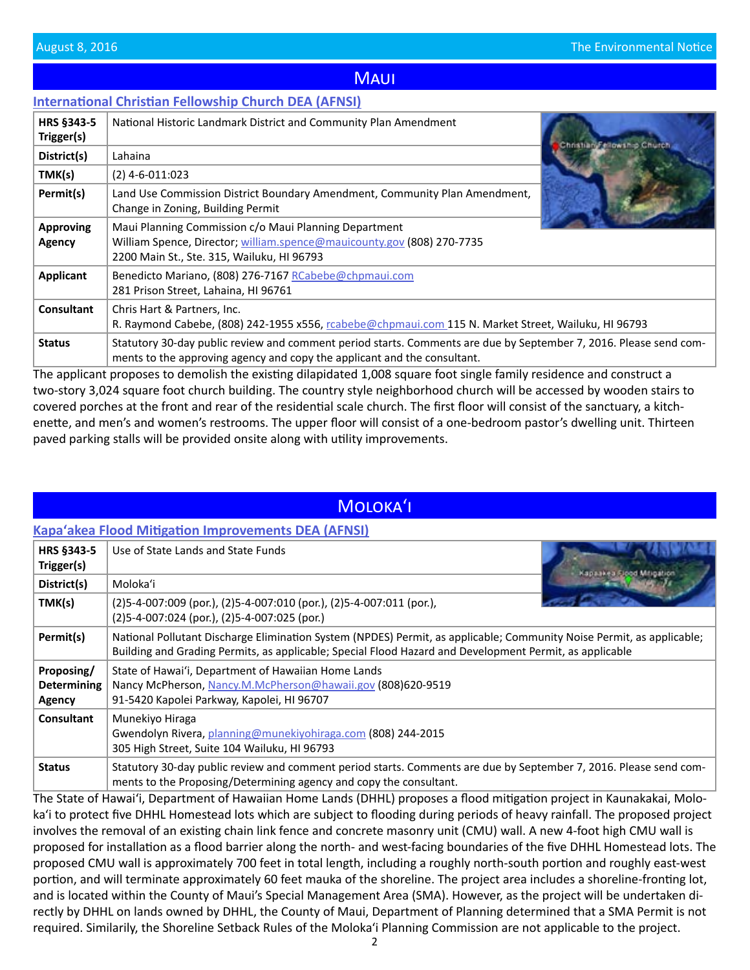## **MAUI**

## <span id="page-1-0"></span>**[International Christian Fellowship Church DEA \(AFNSI\)](http://oeqc.doh.hawaii.gov/Shared%20Documents/EA_and_EIS_Online_Library/Maui/2010s/2016-08-08-MA-5E-DEA-International-Christian-Fellowship-Church.pdf)**

| HRS §343-5<br>Trigger(s)   | National Historic Landmark District and Community Plan Amendment                                                                                                                              | Christian, Fellowship Church. |
|----------------------------|-----------------------------------------------------------------------------------------------------------------------------------------------------------------------------------------------|-------------------------------|
| District(s)                | Lahaina                                                                                                                                                                                       |                               |
| TMK(s)                     | $(2)$ 4-6-011:023                                                                                                                                                                             |                               |
| Permit(s)                  | Land Use Commission District Boundary Amendment, Community Plan Amendment,<br>Change in Zoning, Building Permit                                                                               |                               |
| <b>Approving</b><br>Agency | Maui Planning Commission c/o Maui Planning Department<br>William Spence, Director; william.spence@mauicounty.gov (808) 270-7735<br>2200 Main St., Ste. 315, Wailuku, HI 96793                 |                               |
| <b>Applicant</b>           | Benedicto Mariano, (808) 276-7167 RCabebe@chpmaui.com<br>281 Prison Street, Lahaina, HI 96761                                                                                                 |                               |
| <b>Consultant</b>          | Chris Hart & Partners, Inc.<br>R. Raymond Cabebe, (808) 242-1955 x556, rcabebe@chpmaui.com 115 N. Market Street, Wailuku, HI 96793                                                            |                               |
| <b>Status</b>              | Statutory 30-day public review and comment period starts. Comments are due by September 7, 2016. Please send com-<br>ments to the approving agency and copy the applicant and the consultant. |                               |

The applicant proposes to demolish the existing dilapidated 1,008 square foot single family residence and construct a two-story 3,024 square foot church building. The country style neighborhood church will be accessed by wooden stairs to covered porches at the front and rear of the residential scale church. The first floor will consist of the sanctuary, a kitch[enette, and men's and women's restrooms. The upper floor will consist of a one-bedroom pastor's dwelling unit. Thirteen](http://oeqc.doh.hawaii.gov/Shared%20Documents/EA_and_EIS_Online_Library/Maui/2010s/2016-08-08-MA-5E-DEA-International-Christian-Fellowship-Church.pdf)  paved parking stalls will be provided onsite along with utility improvements.

# Molokaʻi

## **Kapa[ʻakea Flood Mitigation Improvements DEA \(AFNSI\)](http://oeqc.doh.hawaii.gov/Shared%20Documents/EA_and_EIS_Online_Library/Molokai/2010s/2016-08-08-MO-5B-DEA-Kapaakea-Flood-Mitigation-Improvements.pdf)**

| HRS §343-5<br>Trigger(s)                   | Use of State Lands and State Funds                                                                                                                                                                                               |  |
|--------------------------------------------|----------------------------------------------------------------------------------------------------------------------------------------------------------------------------------------------------------------------------------|--|
| District(s)                                | Moloka'i                                                                                                                                                                                                                         |  |
| TMK(s)                                     | $(2)5 - 4 - 007:009$ (por.), $(2)5 - 4 - 007:010$ (por.), $(2)5 - 4 - 007:011$ (por.),<br>$(2)5 - 4 - 007:024$ (por.), $(2)5 - 4 - 007:025$ (por.)                                                                               |  |
| Permit(s)                                  | National Pollutant Discharge Elimination System (NPDES) Permit, as applicable; Community Noise Permit, as applicable;<br>Building and Grading Permits, as applicable; Special Flood Hazard and Development Permit, as applicable |  |
| Proposing/<br><b>Determining</b><br>Agency | State of Hawai'i, Department of Hawaiian Home Lands<br>Nancy McPherson, Nancy.M.McPherson@hawaii.gov (808)620-9519<br>91-5420 Kapolei Parkway, Kapolei, HI 96707                                                                 |  |
| <b>Consultant</b>                          | Munekiyo Hiraga<br>Gwendolyn Rivera, planning@munekiyohiraga.com (808) 244-2015<br>305 High Street, Suite 104 Wailuku, HI 96793                                                                                                  |  |
| <b>Status</b>                              | Statutory 30-day public review and comment period starts. Comments are due by September 7, 2016. Please send com-<br>ments to the Proposing/Determining agency and copy the consultant.                                          |  |

The State of Hawai'i, Department of Hawaiian Home Lands (DHHL) proposes a flood mitigation project in Kaunakakai, Moloka'i to protect five DHHL Homestead lots which are subject to flooding during periods of heavy rainfall. The proposed project involves the removal of an existing chain link fence and concrete masonry unit (CMU) wall. A new 4-foot high CMU wall is [proposed for installation as a flood barrier along the north- and west-facing boundaries of the five DHHL Homestead lots. The](http://oeqc.doh.hawaii.gov/Shared%20Documents/EA_and_EIS_Online_Library/Molokai/2010s/2016-08-08-MO-5B-DEA-Kapaakea-Flood-Mitigation-Improvements.pdf)  proposed CMU wall is approximately 700 feet in total length, including a roughly north-south portion and roughly east-west portion, and will terminate approximately 60 feet mauka of the shoreline. The project area includes a shoreline-fronting lot, and is located within the County of Maui's Special Management Area (SMA). However, as the project will be undertaken directly by DHHL on lands owned by DHHL, the County of Maui, Department of Planning determined that a SMA Permit is not required. Similarily, the Shoreline Setback Rules of the Moloka'i Planning Commission are not applicable to the project.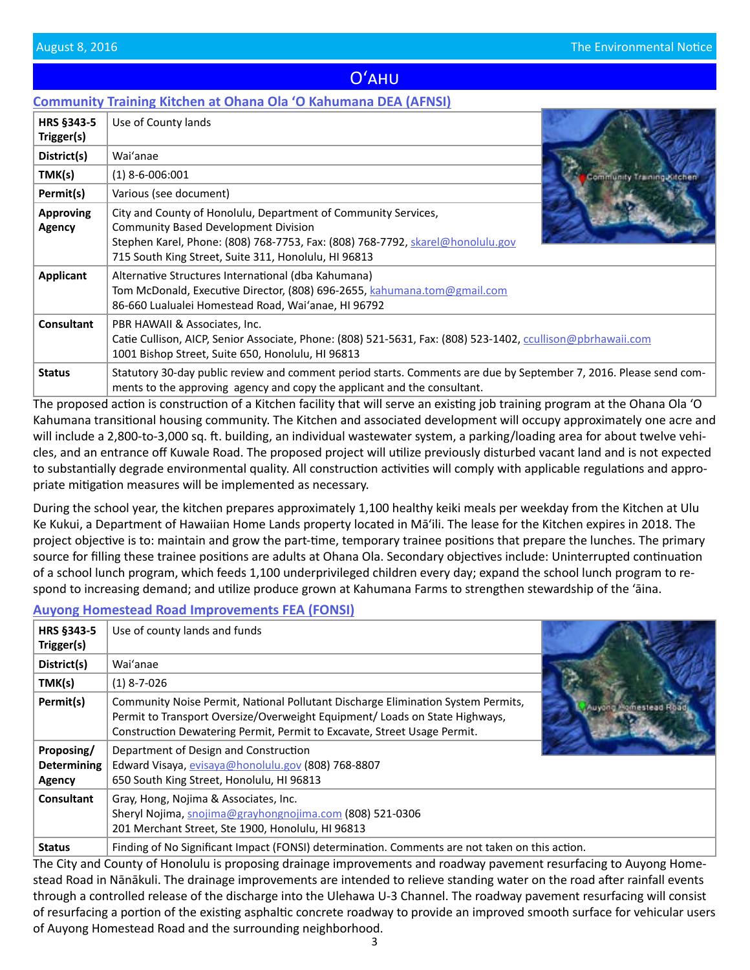# Oʻahu

# <span id="page-2-0"></span>**[Community Training Kitchen at Ohana Ola ʻO Kahumana DEA \(AFNSI\)](http://oeqc.doh.hawaii.gov/Shared%20Documents/EA_and_EIS_Online_Library/Oahu/2010s/2016-08-08-OA-5E-DEA-Community-Training-Kitchen.pdf)**

| HRS §343-5                 | Use of County lands                                                                                                                                                                                                                                     |                            |
|----------------------------|---------------------------------------------------------------------------------------------------------------------------------------------------------------------------------------------------------------------------------------------------------|----------------------------|
| Trigger(s)                 |                                                                                                                                                                                                                                                         |                            |
| District(s)                | Wai'anae                                                                                                                                                                                                                                                |                            |
| TMK(s)                     | $(1)$ 8-6-006:001                                                                                                                                                                                                                                       | Community Training Kitchen |
| Permit(s)                  | Various (see document)                                                                                                                                                                                                                                  |                            |
| <b>Approving</b><br>Agency | City and County of Honolulu, Department of Community Services,<br><b>Community Based Development Division</b><br>Stephen Karel, Phone: (808) 768-7753, Fax: (808) 768-7792, skarel@honolulu.gov<br>715 South King Street, Suite 311, Honolulu, HI 96813 |                            |
| Applicant                  | Alternative Structures International (dba Kahumana)<br>Tom McDonald, Executive Director, (808) 696-2655, kahumana.tom@gmail.com<br>86-660 Lualualei Homestead Road, Wai'anae, HI 96792                                                                  |                            |
| Consultant                 | PBR HAWAII & Associates, Inc.<br>Catie Cullison, AICP, Senior Associate, Phone: (808) 521-5631, Fax: (808) 523-1402, ccullison@pbrhawaii.com<br>1001 Bishop Street, Suite 650, Honolulu, HI 96813                                                       |                            |
| <b>Status</b>              | Statutory 30-day public review and comment period starts. Comments are due by September 7, 2016. Please send com-<br>ments to the approving agency and copy the applicant and the consultant.                                                           |                            |

The proposed action is construction of a Kitchen facility that will serve an existing job training program at the Ohana Ola 'O [Kahumana transitional housing community. The Kitchen and associated development will occupy approximately one acre and](http://oeqc.doh.hawaii.gov/Shared%20Documents/EA_and_EIS_Online_Library/Oahu/2010s/2016-08-08-OA-5E-DEA-Community-Training-Kitchen.pdf)  will include a 2,800-to-3,000 sq. ft. building, an individual wastewater system, a parking/loading area for about twelve vehicles, and an entrance off Kuwale Road. The proposed project will utilize previously disturbed vacant land and is not expected to substantially degrade environmental quality. All construction activities will comply with applicable regulations and appropriate mitigation measures will be implemented as necessary.

During the school year, the kitchen prepares approximately 1,100 healthy keiki meals per weekday from the Kitchen at Ulu Ke Kukui, a Department of Hawaiian Home Lands property located in Mā'ili. The lease for the Kitchen expires in 2018. The project objective is to: maintain and grow the part-time, temporary trainee positions that prepare the lunches. The primary source for filling these trainee positions are adults at Ohana Ola. Secondary objectives include: Uninterrupted continuation of a school lunch program, which feeds 1,100 underprivileged children every day; expand the school lunch program to respond to increasing demand; and utilize produce grown at Kahumana Farms to strengthen stewardship of the 'āina.

### **[Auyong Homestead Road Improvements FEA \(FONSI\)](http://oeqc.doh.hawaii.gov/Shared%20Documents/EA_and_EIS_Online_Library/Oahu/2010s/2016-08-08-OA-5B-FEA-Auyong-Homestead-Road-Improvements.pdf)**

| HRS §343-5<br>Trigger(s)                   | Use of county lands and funds                                                                                                                                                                                                               |  |
|--------------------------------------------|---------------------------------------------------------------------------------------------------------------------------------------------------------------------------------------------------------------------------------------------|--|
| District(s)                                | Wai'anae                                                                                                                                                                                                                                    |  |
| TMK(s)                                     | $(1)$ 8-7-026                                                                                                                                                                                                                               |  |
| Permit(s)                                  | Community Noise Permit, National Pollutant Discharge Elimination System Permits,<br>Permit to Transport Oversize/Overweight Equipment/ Loads on State Highways,<br>Construction Dewatering Permit, Permit to Excavate, Street Usage Permit. |  |
| Proposing/<br><b>Determining</b><br>Agency | Department of Design and Construction<br>Edward Visaya, evisaya@honolulu.gov (808) 768-8807<br>650 South King Street, Honolulu, HI 96813                                                                                                    |  |
| Consultant                                 | Gray, Hong, Nojima & Associates, Inc.<br>Sheryl Nojima, snojima@grayhongnojima.com (808) 521-0306<br>201 Merchant Street, Ste 1900, Honolulu, HI 96813                                                                                      |  |
| <b>Status</b>                              | Finding of No Significant Impact (FONSI) determination. Comments are not taken on this action.                                                                                                                                              |  |

The City and County of Honolulu is proposing drainage improvements and roadway pavement resurfacing to Auyong Homestead Road in Nānākuli. The drainage improvements are intended to relieve standing water on the road after rainfall events through a controlled release of the discharge into the Ulehawa U-3 Channel. The roadway pavement resurfacing will consist [of resurfacing a portion of the existing asphaltic concrete roadway to provide an improved smooth surface for vehicular users](http://oeqc.doh.hawaii.gov/Shared%20Documents/EA_and_EIS_Online_Library/Oahu/2010s/2016-08-08-OA-5B-FEA-Auyong-Homestead-Road-Improvements.pdf)  of Auyong Homestead Road and the surrounding neighborhood.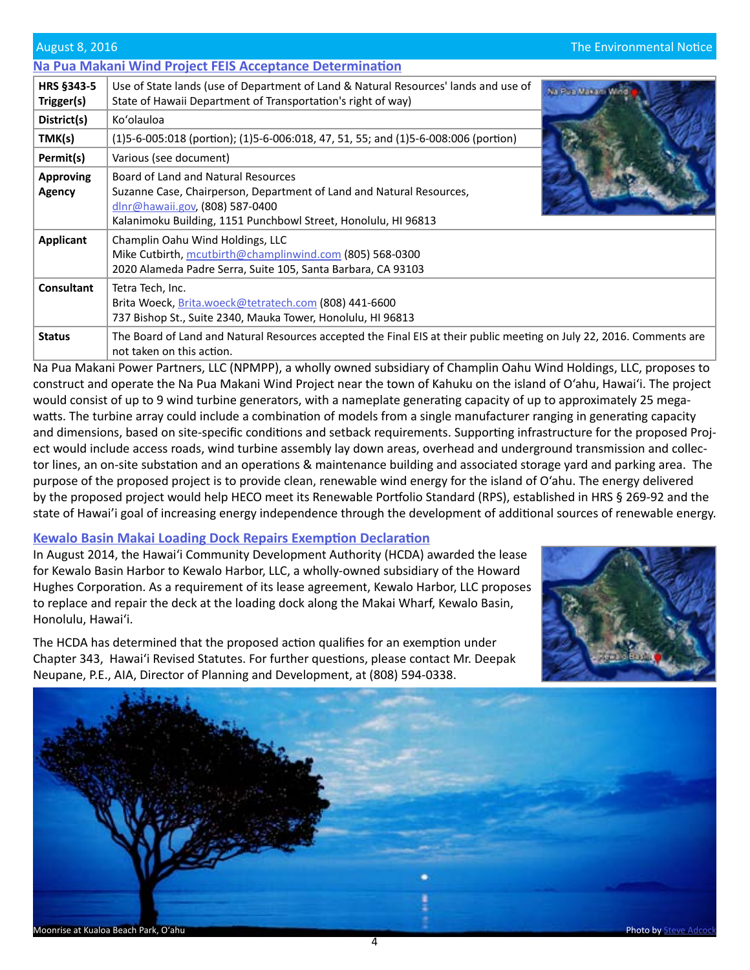### <span id="page-3-0"></span>**[Na Pua Makani Wind Project FEIS Acceptance Determination](http://oeqc.doh.hawaii.gov/Shared%20Documents/EA_and_EIS_Online_Library/Oahu/2010s/2016-08-08-OA-5E-Acceptance-Na-Pua-Makani-Wind-Project.pdf)**

| <b>HRS §343-5</b><br>Trigger(s) | Use of State lands (use of Department of Land & Natural Resources' lands and use of<br>State of Hawaii Department of Transportation's right of way)                                                              |  |
|---------------------------------|------------------------------------------------------------------------------------------------------------------------------------------------------------------------------------------------------------------|--|
| District(s)                     | Ko'olauloa                                                                                                                                                                                                       |  |
| TMK(s)                          | $(1)5-6-005:018$ (portion); $(1)5-6-006:018$ , 47, 51, 55; and $(1)5-6-008:006$ (portion)                                                                                                                        |  |
| Permit(s)                       | Various (see document)                                                                                                                                                                                           |  |
| <b>Approving</b><br>Agency      | Board of Land and Natural Resources<br>Suzanne Case, Chairperson, Department of Land and Natural Resources,<br>dlnr@hawaii.gov, (808) 587-0400<br>Kalanimoku Building, 1151 Punchbowl Street, Honolulu, HI 96813 |  |
| <b>Applicant</b>                | Champlin Oahu Wind Holdings, LLC<br>Mike Cutbirth, mcutbirth@champlinwind.com (805) 568-0300<br>2020 Alameda Padre Serra, Suite 105, Santa Barbara, CA 93103                                                     |  |
| <b>Consultant</b>               | Tetra Tech, Inc.<br>Brita Woeck, Brita.woeck@tetratech.com (808) 441-6600<br>737 Bishop St., Suite 2340, Mauka Tower, Honolulu, HI 96813                                                                         |  |
| <b>Status</b>                   | The Board of Land and Natural Resources accepted the Final EIS at their public meeting on July 22, 2016. Comments are<br>not taken on this action.                                                               |  |

Na Pua Makani Power Partners, LLC (NPMPP), a wholly owned subsidiary of Champlin Oahu Wind Holdings, LLC, proposes to construct and operate the Na Pua Makani Wind Project near the town of Kahuku on the island of O'ahu, Hawai'i. The project would consist of up to 9 wind turbine generators, with a nameplate generating capacity of up to approximately 25 megawatts. The turbine array could include a combination of models from a single manufacturer ranging in generating capacity [and dimensions, based on site-specific conditions and setback requirements. Supporting infrastructure for the proposed Proj](http://oeqc.doh.hawaii.gov/Shared%20Documents/EA_and_EIS_Online_Library/Oahu/2010s/2016-08-08-OA-5E-Acceptance-Na-Pua-Makani-Wind-Project.pdf)ect would include access roads, wind turbine assembly lay down areas, overhead and underground transmission and collector lines, an on-site substation and an operations & maintenance building and associated storage yard and parking area. The purpose of the proposed project is to provide clean, renewable wind energy for the island of O'ahu. The energy delivered by the proposed project would help HECO meet its Renewable Portfolio Standard (RPS), established in HRS § 269-92 and the state of Hawai'i goal of increasing energy independence through the development of additional sources of renewable energy.

# **[Kewalo Basin Makai Loading Dock Repairs Exemption Declaration](http://oeqc.doh.hawaii.gov/Shared%20Documents/EA_and_EIS_Online_Library/OTHER%20CHAPTER%20343%20NOTICES/2016-08-08-OA-5E-EX-Kewalo-Basin-Makai-Loading-Dock.pdf)**

In August 2014, the Hawaiʻi Community Development Authority (HCDA) awarded the lease for Kewalo Basin Harbor to Kewalo Harbor, LLC, a wholly-owned subsidiary of the Howard [Hughes Corporation. As a requirement of its lease agreement, Kewalo Harbor, LLC proposes](http://oeqc.doh.hawaii.gov/Shared%20Documents/EA_and_EIS_Online_Library/OTHER%20CHAPTER%20343%20NOTICES/2016-08-08-OA-5E-EX-Kewalo-Basin-Makai-Loading-Dock.pdf)  to replace and repair the deck at the loading dock along the Makai Wharf, Kewalo Basin, Honolulu, Hawaiʻi.



The HCDA has determined that the proposed action qualifies for an exemption under Chapter 343, Hawai'i Revised Statutes. For further questions, please contact Mr. Deepak Neupane, P.E., AIA, Director of Planning and Development, at (808) 594-0338.

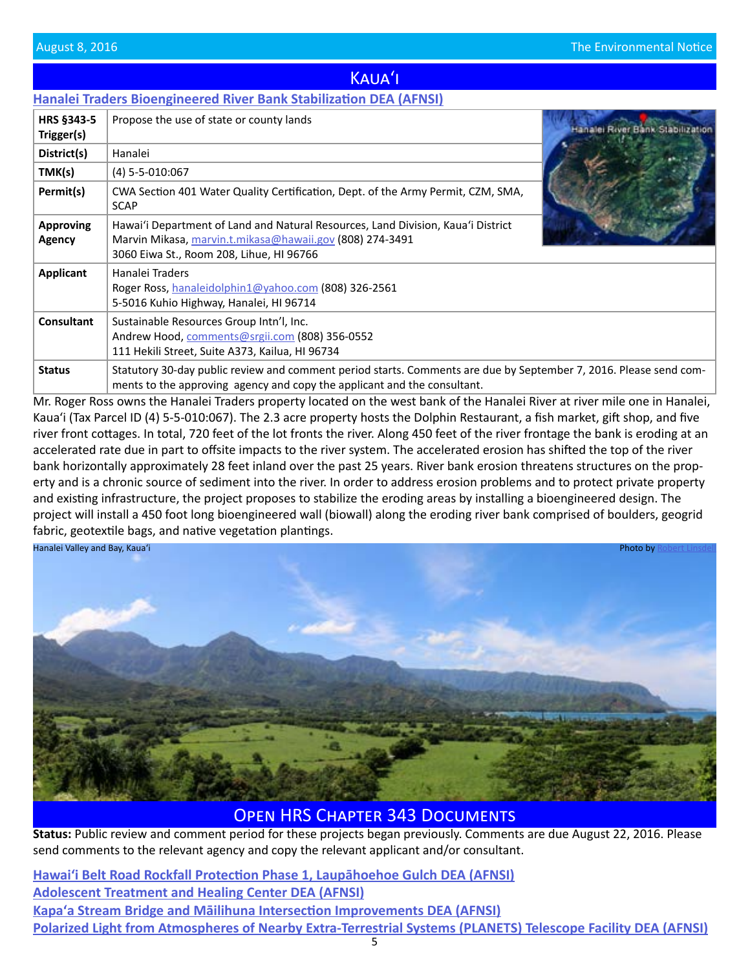<span id="page-4-0"></span>

|                                 | <b>Hanalei Traders Bioengineered River Bank Stabilization DEA (AFNSI)</b>                                                                                                                |                                  |
|---------------------------------|------------------------------------------------------------------------------------------------------------------------------------------------------------------------------------------|----------------------------------|
| <b>HRS §343-5</b><br>Trigger(s) | Propose the use of state or county lands                                                                                                                                                 | Hanalei River Bank/Stabilization |
| District(s)                     | Hanalei                                                                                                                                                                                  |                                  |
| TMK(s)                          | (4) 5-5-010:067                                                                                                                                                                          |                                  |
| Permit(s)                       | CWA Section 401 Water Quality Certification, Dept. of the Army Permit, CZM, SMA,<br><b>SCAP</b>                                                                                          |                                  |
| <b>Approving</b><br>Agency      | Hawai'i Department of Land and Natural Resources, Land Division, Kaua'i District<br>Marvin Mikasa, marvin.t.mikasa@hawaii.gov (808) 274-3491<br>3060 Eiwa St., Room 208, Lihue, HI 96766 |                                  |
| Applicant                       | Hanalei Traders<br>Roger Ross, hanaleidolphin1@yahoo.com (808) 326-2561<br>5-5016 Kuhio Highway, Hanalei, HI 96714                                                                       |                                  |
| <b>Consultant</b>               | Sustainable Resources Group Intn'l, Inc.<br>Andrew Hood, comments@srgii.com (808) 356-0552<br>111 Hekili Street, Suite A373, Kailua, HI 96734                                            |                                  |
| <b>Status</b>                   | Statutory 30-day public review and comment period starts. Comments are due by September 7, 2016. Please send com-                                                                        |                                  |

Kauaʻi

ments to the approving agency and copy the applicant and the consultant. [Mr. Roger Ross owns the Hanalei Traders property located on the west bank of the Hanalei River at river mile one in Hanalei,](http://oeqc.doh.hawaii.gov/Shared%20Documents/EA_and_EIS_Online_Library/Kauai/2010s/2016-08-08-KA-5E-DEA-Hanalei-River-Bank-Stabilization.pdf)  Kaua'i (Tax Parcel ID (4) 5-5-010:067). The 2.3 acre property hosts the Dolphin Restaurant, a fish market, gift shop, and five river front cottages. In total, 720 feet of the lot fronts the river. Along 450 feet of the river frontage the bank is eroding at an accelerated rate due in part to offsite impacts to the river system. The accelerated erosion has shifted the top of the river bank horizontally approximately 28 feet inland over the past 25 years. River bank erosion threatens structures on the property and is a chronic source of sediment into the river. In order to address erosion problems and to protect private property and existing infrastructure, the project proposes to stabilize the eroding areas by installing a bioengineered design. The project will install a 450 foot long bioengineered wall (biowall) along the eroding river bank comprised of boulders, geogrid fabric, geotextile bags, and native vegetation plantings.



Open HRS Chapter 343 Documents

**Status:** Public review and comment period for these projects began previously. Comments are due August 22, 2016. Please send comments to the relevant agency and copy the relevant applicant and/or consultant.

5 **[Hawaiʻi Belt Road Rockfall Protection Phase 1, Laupāhoehoe Gulch DEA \(AFNSI\)](http://oeqc.doh.hawaii.gov/Shared%20Documents/EA_and_EIS_Online_Library/Hawaii/2010s/2016-07-23-HA-5B-DEA-Belt-Road-Rockfall-Protection.pdf) [Adolescent Treatment and Healing Center DEA \(AFNSI\)](http://oeqc.doh.hawaii.gov/Shared%20Documents/EA_and_EIS_Online_Library/Kauai/2010s/2016-07-23-KA-5B-DEA-Adolescent-Treatment-Center.pdf) [Kapaʻa Stream Bridge and Māilihuna Intersection Improvements DEA \(AFNSI\)](http://oeqc.doh.hawaii.gov/Shared%20Documents/EA_and_EIS_Online_Library/Kauai/2010s/2016-07-23-KA-5B-DEA-Kapaa-Stream-Bridge-and-Mailihuna-Intersection.pdf) [Polarized Light from Atmospheres of Nearby Extra-Terrestrial Systems \(PLANETS\) Telescope Facility DEA \(AFNSI\)](http://oeqc.doh.hawaii.gov/Shared%20Documents/EA_and_EIS_Online_Library/Maui/2010s/2016-07-23-MA-5B-DEA-PLANETS-Telescope-Facility.pdf)**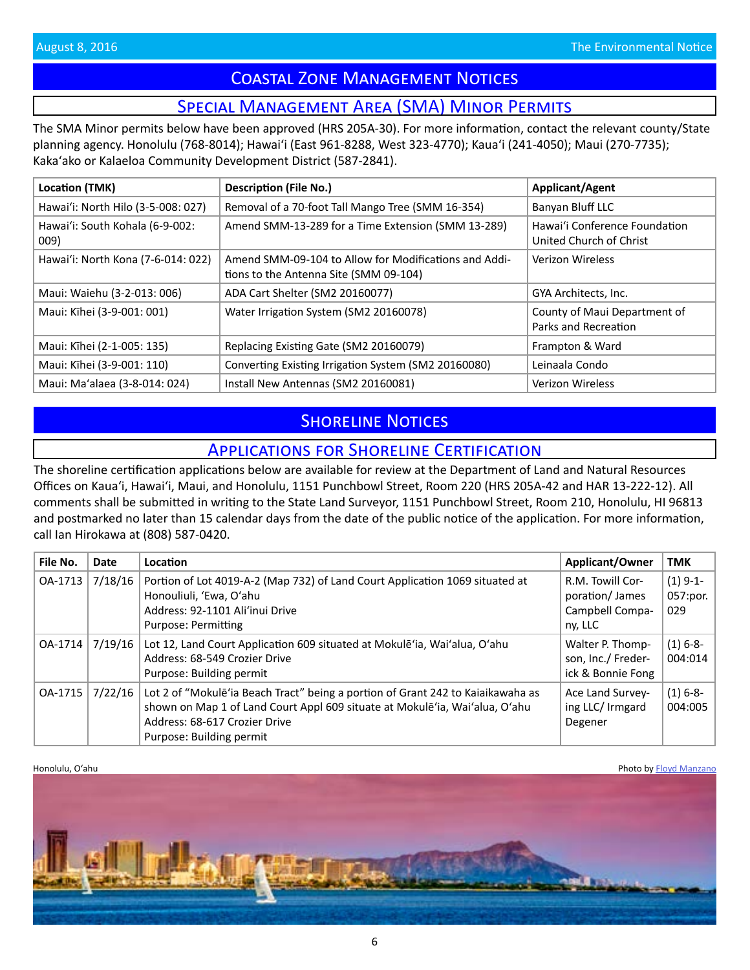# Coastal Zone Management Notices

# Special Management Area (SMA) Minor Permits

<span id="page-5-0"></span>The SMA Minor permits below have been approved (HRS 205A-30). For more information, contact the relevant county/State planning agency. Honolulu (768-8014); Hawaiʻi (East 961-8288, West 323-4770); Kauaʻi (241-4050); Maui (270-7735); Kakaʻako or Kalaeloa Community Development District (587-2841).

| Location (TMK)                          | <b>Description (File No.)</b>                                                                   | <b>Applicant/Agent</b>                                   |
|-----------------------------------------|-------------------------------------------------------------------------------------------------|----------------------------------------------------------|
| Hawai'i: North Hilo (3-5-008: 027)      | Removal of a 70-foot Tall Mango Tree (SMM 16-354)                                               | Banyan Bluff LLC                                         |
| Hawai'i: South Kohala (6-9-002:<br>009) | Amend SMM-13-289 for a Time Extension (SMM 13-289)                                              | Hawai'i Conference Foundation<br>United Church of Christ |
| Hawai'i: North Kona (7-6-014: 022)      | Amend SMM-09-104 to Allow for Modifications and Addi-<br>tions to the Antenna Site (SMM 09-104) | Verizon Wireless                                         |
| Maui: Waiehu (3-2-013: 006)             | ADA Cart Shelter (SM2 20160077)                                                                 | GYA Architects, Inc.                                     |
| Maui: Kīhei (3-9-001: 001)              | Water Irrigation System (SM2 20160078)                                                          | County of Maui Department of<br>Parks and Recreation     |
| Maui: Kīhei (2-1-005: 135)              | Replacing Existing Gate (SM2 20160079)                                                          | Frampton & Ward                                          |
| Maui: Kīhei (3-9-001: 110)              | Converting Existing Irrigation System (SM2 20160080)                                            | Leinaala Condo                                           |
| Maui: Ma'alaea (3-8-014: 024)           | Install New Antennas (SM2 20160081)                                                             | <b>Verizon Wireless</b>                                  |

# **SHORELINE NOTICES**

# Applications for Shoreline Certification

The shoreline certification applications below are available for review at the Department of Land and Natural Resources Offices on Kauaʻi, Hawaiʻi, Maui, and Honolulu, 1151 Punchbowl Street, Room 220 (HRS 205A-42 and HAR 13-222-12). All comments shall be submitted in writing to the State Land Surveyor, 1151 Punchbowl Street, Room 210, Honolulu, HI 96813 and postmarked no later than 15 calendar days from the date of the public notice of the application. For more information, call Ian Hirokawa at (808) 587-0420.

| File No. | Date    | Location                                                                                                                                                                                                                    | <b>Applicant/Owner</b>                                           | <b>TMK</b>                    |
|----------|---------|-----------------------------------------------------------------------------------------------------------------------------------------------------------------------------------------------------------------------------|------------------------------------------------------------------|-------------------------------|
| OA-1713  | 7/18/16 | Portion of Lot 4019-A-2 (Map 732) of Land Court Application 1069 situated at<br>Honouliuli, 'Ewa, O'ahu<br>Address: 92-1101 Ali'inui Drive<br>Purpose: Permitting                                                           | R.M. Towill Cor-<br>poration/James<br>Campbell Compa-<br>ny, LLC | $(1)$ 9-1-<br>057:por.<br>029 |
| OA-1714  | 7/19/16 | Lot 12, Land Court Application 609 situated at Mokule ia, Wai'alua, O'ahu<br>Address: 68-549 Crozier Drive<br>Purpose: Building permit                                                                                      | Walter P. Thomp-<br>son, Inc./ Freder-<br>ick & Bonnie Fong      | $(1) 6 - 8 -$<br>004:014      |
| OA-1715  | 7/22/16 | Lot 2 of "Mokule ia Beach Tract" being a portion of Grant 242 to Kaiaikawaha as<br>shown on Map 1 of Land Court Appl 609 situate at Mokulē'ia, Wai'alua, O'ahu<br>Address: 68-617 Crozier Drive<br>Purpose: Building permit | Ace Land Survey-<br>ing LLC/ Irmgard<br>Degener                  | $(1) 6 - 8 -$<br>004:005      |

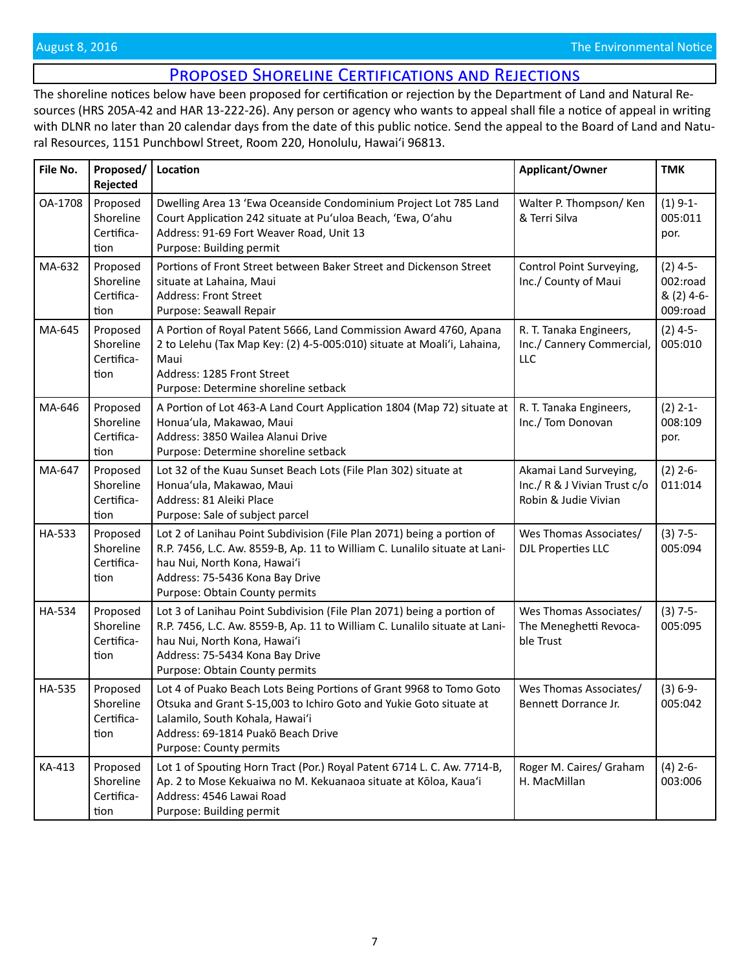# Proposed Shoreline Certifications and Rejections

<span id="page-6-0"></span>The shoreline notices below have been proposed for certification or rejection by the Department of Land and Natural Resources (HRS 205A-42 and HAR 13-222-26). Any person or agency who wants to appeal shall file a notice of appeal in writing with DLNR no later than 20 calendar days from the date of this public notice. Send the appeal to the Board of Land and Natural Resources, 1151 Punchbowl Street, Room 220, Honolulu, Hawai'i 96813.

| File No.      | Proposed/<br>Rejected                       | Location                                                                                                                                                                                                                                                  | Applicant/Owner                                                                | <b>TMK</b>                                       |
|---------------|---------------------------------------------|-----------------------------------------------------------------------------------------------------------------------------------------------------------------------------------------------------------------------------------------------------------|--------------------------------------------------------------------------------|--------------------------------------------------|
| OA-1708       | Proposed<br>Shoreline<br>Certifica-<br>tion | Dwelling Area 13 'Ewa Oceanside Condominium Project Lot 785 Land<br>Court Application 242 situate at Pu'uloa Beach, 'Ewa, O'ahu<br>Address: 91-69 Fort Weaver Road, Unit 13<br>Purpose: Building permit                                                   | Walter P. Thompson/Ken<br>& Terri Silva                                        | $(1)$ 9-1-<br>005:011<br>por.                    |
| MA-632        | Proposed<br>Shoreline<br>Certifica-<br>tion | Portions of Front Street between Baker Street and Dickenson Street<br>situate at Lahaina, Maui<br>Address: Front Street<br>Purpose: Seawall Repair                                                                                                        | Control Point Surveying,<br>Inc./ County of Maui                               | $(2)$ 4-5-<br>002:road<br>& (2) 4-6-<br>009:road |
| MA-645        | Proposed<br>Shoreline<br>Certifica-<br>tion | A Portion of Royal Patent 5666, Land Commission Award 4760, Apana<br>2 to Lelehu (Tax Map Key: (2) 4-5-005:010) situate at Moali'i, Lahaina,<br>Maui<br>Address: 1285 Front Street<br>Purpose: Determine shoreline setback                                | R. T. Tanaka Engineers,<br>Inc./ Cannery Commercial,<br>LLC                    | $(2)$ 4-5-<br>005:010                            |
| MA-646        | Proposed<br>Shoreline<br>Certifica-<br>tion | A Portion of Lot 463-A Land Court Application 1804 (Map 72) situate at<br>Honua'ula, Makawao, Maui<br>Address: 3850 Wailea Alanui Drive<br>Purpose: Determine shoreline setback                                                                           | R. T. Tanaka Engineers,<br>Inc./ Tom Donovan                                   | $(2)$ 2-1-<br>008:109<br>por.                    |
| MA-647        | Proposed<br>Shoreline<br>Certifica-<br>tion | Lot 32 of the Kuau Sunset Beach Lots (File Plan 302) situate at<br>Honua'ula, Makawao, Maui<br>Address: 81 Aleiki Place<br>Purpose: Sale of subject parcel                                                                                                | Akamai Land Surveying,<br>Inc./ R & J Vivian Trust c/o<br>Robin & Judie Vivian | $(2)$ 2-6-<br>011:014                            |
| HA-533        | Proposed<br>Shoreline<br>Certifica-<br>tion | Lot 2 of Lanihau Point Subdivision (File Plan 2071) being a portion of<br>R.P. 7456, L.C. Aw. 8559-B, Ap. 11 to William C. Lunalilo situate at Lani-<br>hau Nui, North Kona, Hawai'i<br>Address: 75-5436 Kona Bay Drive<br>Purpose: Obtain County permits | Wes Thomas Associates/<br><b>DJL Properties LLC</b>                            | $(3) 7-5-$<br>005:094                            |
| HA-534        | Proposed<br>Shoreline<br>Certifica-<br>tion | Lot 3 of Lanihau Point Subdivision (File Plan 2071) being a portion of<br>R.P. 7456, L.C. Aw. 8559-B, Ap. 11 to William C. Lunalilo situate at Lani-<br>hau Nui, North Kona, Hawai'i<br>Address: 75-5434 Kona Bay Drive<br>Purpose: Obtain County permits | Wes Thomas Associates/<br>The Meneghetti Revoca-<br>ble Trust                  | $(3) 7-5-$<br>005:095                            |
| <b>HA-535</b> | Proposed<br>Shoreline<br>Certifica-<br>tion | Lot 4 of Puako Beach Lots Being Portions of Grant 9968 to Tomo Goto<br>Otsuka and Grant S-15,003 to Ichiro Goto and Yukie Goto situate at<br>Lalamilo, South Kohala, Hawai'i<br>Address: 69-1814 Puakō Beach Drive<br>Purpose: County permits             | Wes Thomas Associates/<br>Bennett Dorrance Jr.                                 | $(3) 6-9-$<br>005:042                            |
| KA-413        | Proposed<br>Shoreline<br>Certifica-<br>tion | Lot 1 of Spouting Horn Tract (Por.) Royal Patent 6714 L. C. Aw. 7714-B,<br>Ap. 2 to Mose Kekuaiwa no M. Kekuanaoa situate at Kōloa, Kaua'i<br>Address: 4546 Lawai Road<br>Purpose: Building permit                                                        | Roger M. Caires/ Graham<br>H. MacMillan                                        | $(4)$ 2-6-<br>003:006                            |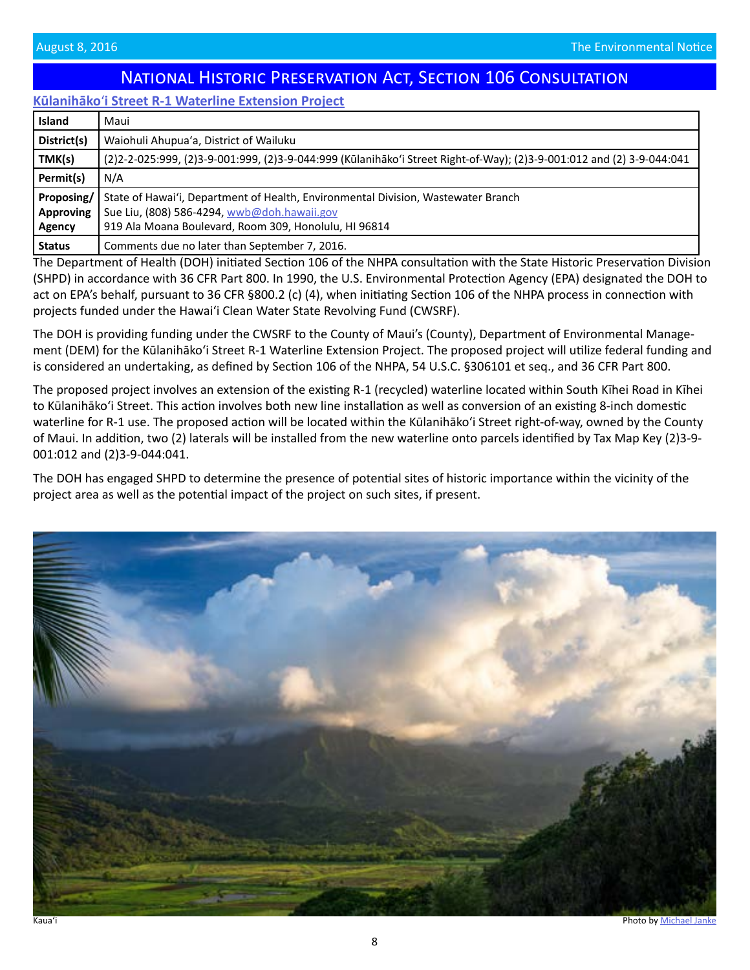# National Historic Preservation Act, Section 106 Consultation

### <span id="page-7-0"></span>**Kūlanihāko**ʻ**[i Street R-1 Waterline Extension Project](http://oeqc.doh.hawaii.gov/Shared%20Documents/EA_and_EIS_Online_Library/NEPA%20and%20Other%20Documents/2016-08-08-MA-Sec-106-Kulanihakoi-Street-Waterline.pdf)**

| <b>Island</b> | Maui                                                                                                                  |
|---------------|-----------------------------------------------------------------------------------------------------------------------|
| District(s)   | Waiohuli Ahupua'a, District of Wailuku                                                                                |
| TMK(s)        | (2)2-2-025:999, (2)3-9-001:999, (2)3-9-044:999 (Kūlanihāko'i Street Right-of-Way); (2)3-9-001:012 and (2) 3-9-044:041 |
| Permit(s)     | N/A                                                                                                                   |
| Proposing/    | State of Hawai'i, Department of Health, Environmental Division, Wastewater Branch                                     |
| Approving     | Sue Liu, (808) 586-4294, wwb@doh.hawaii.gov                                                                           |
| Agency        | 919 Ala Moana Boulevard, Room 309, Honolulu, HI 96814                                                                 |
| <b>Status</b> | Comments due no later than September 7, 2016.                                                                         |

The Department of Health (DOH) initiated Section 106 of the NHPA consultation with the State Historic Preservation Division (SHPD) in accordance with 36 CFR Part 800. In 1990, the U.S. Environmental Protection Agency (EPA) designated the DOH to act on EPA's behalf, pursuant to 36 CFR §800.2 (c) (4), when initiating Section 106 of the NHPA process in connection with projects funded under the Hawaiʻi Clean Water State Revolving Fund (CWSRF).

The DOH is providing funding under the CWSRF to the County of Maui's (County), Department of Environmental Manage[ment \(DEM\) for the Kūlanihāko'i Street R-1 Waterline Extension Project. The proposed project will utilize federal funding and](http://oeqc.doh.hawaii.gov/Shared%20Documents/EA_and_EIS_Online_Library/NEPA%20and%20Other%20Documents/2016-08-08-MA-Sec-106-Kulanihakoi-Street-Waterline.pdf)  is considered an undertaking, as defined by Section 106 of the NHPA, 54 U.S.C. §306101 et seq., and 36 CFR Part 800.

The proposed project involves an extension of the existing R-1 (recycled) waterline located within South Kīhei Road in Kīhei to Kūlanihāko'i Street. This action involves both new line installation as well as conversion of an existing 8-inch domestic waterline for R-1 use. The proposed action will be located within the Kūlanihāko'i Street right-of-way, owned by the County of Maui. In addition, two (2) laterals will be installed from the new waterline onto parcels identified by Tax Map Key (2)3-9- 001:012 and (2)3-9-044:041.

The DOH has engaged SHPD to determine the presence of potential sites of historic importance within the vicinity of the project area as well as the potential impact of the project on such sites, if present.

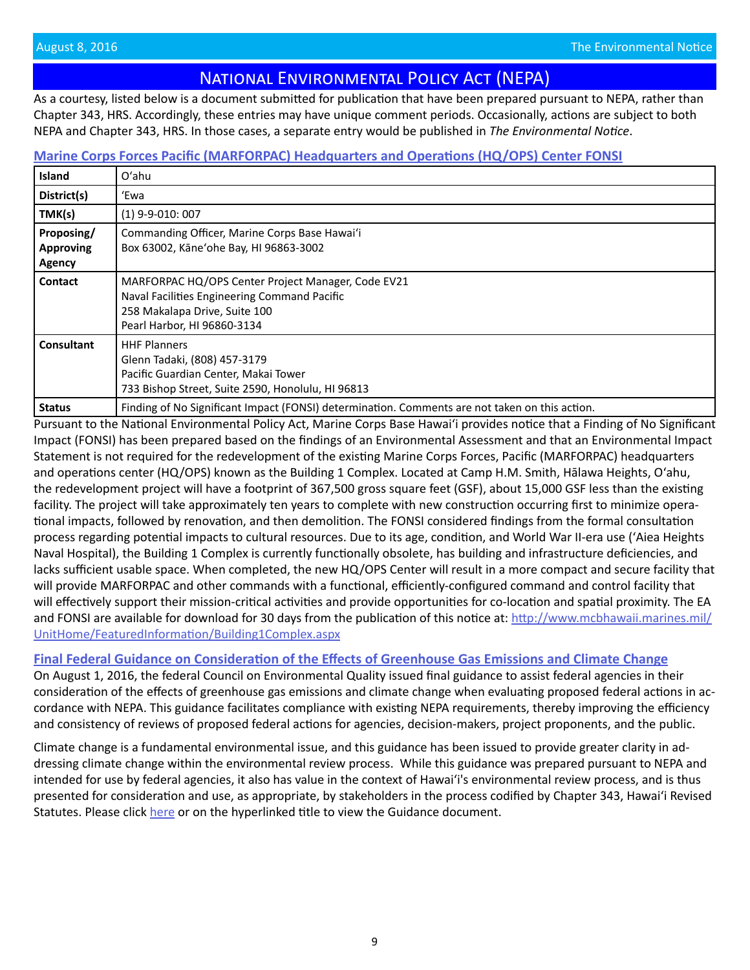# National Environmental Policy Act (NEPA)

<span id="page-8-0"></span>As a courtesy, listed below is a document submitted for publication that have been prepared pursuant to NEPA, rather than Chapter 343, HRS. Accordingly, these entries may have unique comment periods. Occasionally, actions are subject to both NEPA and Chapter 343, HRS. In those cases, a separate entry would be published in *The Environmental Notice*.

# **[Marine Corps Forces Pacific \(MARFORPAC\) Headquarters and Operations \(HQ/OPS\) Center FONSI](http://oeqc.doh.hawaii.gov/Shared%20Documents/EA_and_EIS_Online_Library/NEPA%20and%20Other%20Documents/2016-08-08-OA-NEPA-FONSI-Marine-Corps-Headquarters.pdf)**

| Island                                          | O'ahu                                                                                                                                                              |
|-------------------------------------------------|--------------------------------------------------------------------------------------------------------------------------------------------------------------------|
| District(s)                                     | 'Ewa                                                                                                                                                               |
| TMK(s)                                          | $(1)$ 9-9-010: 007                                                                                                                                                 |
| Proposing/<br><b>Approving</b><br><b>Agency</b> | Commanding Officer, Marine Corps Base Hawai'i<br>Box 63002, Käne'ohe Bay, HI 96863-3002                                                                            |
| <b>Contact</b>                                  | MARFORPAC HQ/OPS Center Project Manager, Code EV21<br>Naval Facilities Engineering Command Pacific<br>258 Makalapa Drive, Suite 100<br>Pearl Harbor, HI 96860-3134 |
| Consultant                                      | <b>HHF Planners</b><br>Glenn Tadaki, (808) 457-3179<br>Pacific Guardian Center, Makai Tower<br>733 Bishop Street, Suite 2590, Honolulu, HI 96813                   |
| <b>Status</b>                                   | Finding of No Significant Impact (FONSI) determination. Comments are not taken on this action.                                                                     |

Pursuant to the National Environmental Policy Act, Marine Corps Base Hawaiʻi provides notice that a Finding of No Significant Impact (FONSI) has been prepared based on the findings of an Environmental Assessment and that an Environmental Impact Statement is not required for the redevelopment of the existing Marine Corps Forces, Pacific (MARFORPAC) headquarters and operations center (HQ/OPS) known as the Building 1 Complex. Located at Camp H.M. Smith, Hālawa Heights, Oʻahu, the redevelopment project will have a footprint of 367,500 gross square feet (GSF), about 15,000 GSF less than the existing facility. The project will take approximately ten years to complete with new construction occurring first to minimize operational impacts, followed by renovation, and then demolition. The FONSI considered findings from the formal consultation process regarding potential impacts to cultural resources. Due to its age, condition, and World War II-era use (ʻAiea Heights Naval Hospital), the Building 1 Complex is currently functionally obsolete, has building and infrastructure deficiencies, and lacks sufficient usable space. When completed, the new HQ/OPS Center will result in a more compact and secure facility that will provide MARFORPAC and other commands with a functional, efficiently-configured command and control facility that will effectively support their mission-critical activities and provide opportunities for co-location and spatial proximity. The EA and FONSI are available for download for 30 days from the publication of this notice at: [http://www.mcbhawaii.marines.mil/](http://www.mcbhawaii.marines.mil/UnitHome/FeaturedInformation/Building1Complex.aspx) [UnitHome/FeaturedInformation/Building1Complex.aspx](http://www.mcbhawaii.marines.mil/UnitHome/FeaturedInformation/Building1Complex.aspx)

# **[Final Federal Guidance on Consideration of the Effects of Greenhouse Gas Emissions and Climate Change](http://www.mcbhawaii.marines.mil/UnitHome/FeaturedInformation/Building1Complex.aspx)**

On August 1, 2016, the federal Council on Environmental Quality issued final guidance to assist federal agencies in their consideration of the effects of greenhouse gas emissions and climate change when evaluating proposed federal actions in accordance with NEPA. This guidance facilitates compliance with existing NEPA requirements, thereby improving the efficiency and consistency of reviews of proposed federal actions for agencies, decision-makers, project proponents, and the public.

Climate change is a fundamental environmental issue, and this guidance has been issued to provide greater clarity in addressing climate change within the environmental review process. While this guidance was prepared pursuant to NEPA and intended for use by federal agencies, it also has value in the context of Hawaiʻi's environmental review process, and is thus presented for consideration and use, as appropriate, by stakeholders in the process codified by Chapter 343, Hawaiʻi Revised Statutes. Please click [here](http://oeqc.doh.hawaii.gov/Shared%20Documents/EA_and_EIS_Online_Library/NEPA%20and%20Other%20Documents/nepa_final_ghg_guidance.pdf) or on the hyperlinked title to view the Guidance document.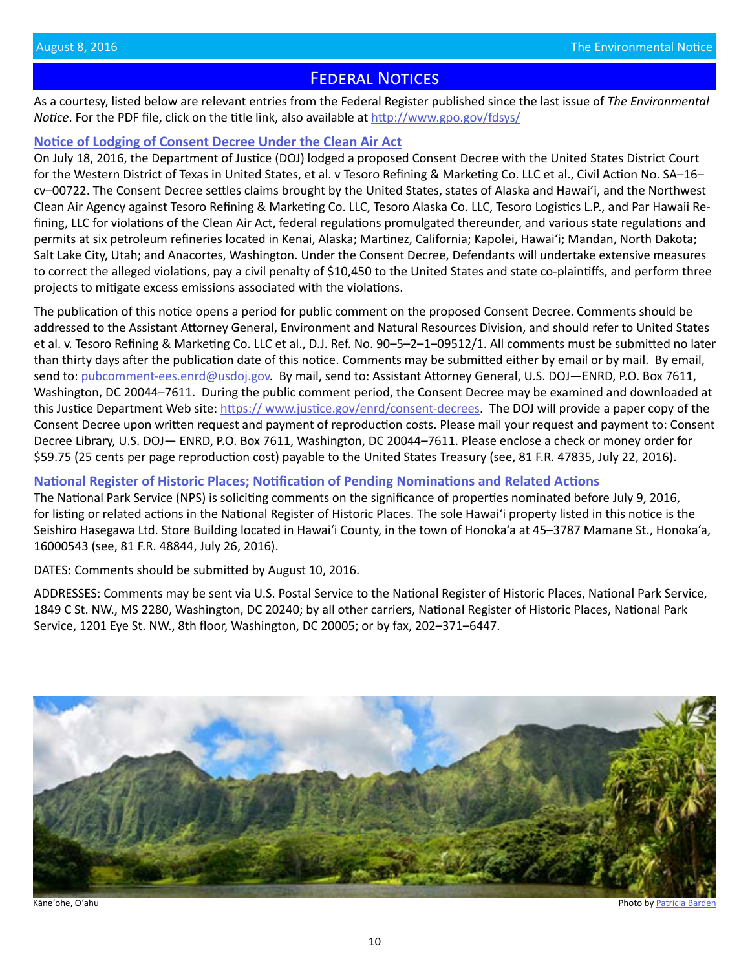# **FEDERAL NOTICES**

<span id="page-9-0"></span>As a courtesy, listed below are relevant entries from the Federal Register published since the last issue of *The Environmental Notice*. For the PDF file, click on the title link, also available at<http://www.gpo.gov/fdsys/>

### **[Notice of Lodging of Consent Decree Under the Clean Air Act](https://www.gpo.gov/fdsys/pkg/FR-2016-07-22/pdf/2016-17393.pdf)**

On July 18, 2016, the Department of Justice (DOJ) lodged a proposed Consent Decree with the United States District Court for the Western District of Texas in United States, et al. v Tesoro Refining & Marketing Co. LLC et al., Civil Action No. SA–16– cv–00722. The Consent Decree settles claims brought by the United States, states of Alaska and Hawai'i, and the Northwest Clean Air Agency against Tesoro Refining & Marketing Co. LLC, Tesoro Alaska Co. LLC, Tesoro Logistics L.P., and Par Hawaii Refining, LLC for violations of the Clean Air Act, federal regulations promulgated thereunder, and various state regulations and permits at six petroleum refineries located in Kenai, Alaska; Martinez, California; Kapolei, Hawai'i; Mandan, North Dakota; Salt Lake City, Utah; and Anacortes, Washington. Under the Consent Decree, Defendants will undertake extensive measures to correct the alleged violations, pay a civil penalty of \$10,450 to the United States and state co-plaintiffs, and perform three projects to mitigate excess emissions associated with the violations.

The publication of this notice opens a period for public comment on the proposed Consent Decree. Comments should be addressed to the Assistant Attorney General, Environment and Natural Resources Division, and should refer to United States et al. v. Tesoro Refining & Marketing Co. LLC et al., D.J. Ref. No. 90–5–2–1–09512/1. All comments must be submitted no later than thirty days after the publication date of this notice. Comments may be submitted either by email or by mail. By email, send to: [pubcomment-ees.enrd@usdoj.gov](mailto:pubcomment-ees.enrd@usdoj.gov). By mail, send to: Assistant Attorney General, U.S. DOJ—ENRD, P.O. Box 7611, Washington, DC 20044–7611. During the public comment period, the Consent Decree may be examined and downloaded at this Justice Department Web site: [https:// www.justice.gov/enrd/consent-decrees.](https:// www.justice.gov/enrd/consent-decrees) The DOJ will provide a paper copy of the Consent Decree upon written request and payment of reproduction costs. Please mail your request and payment to: Consent Decree Library, U.S. DOJ— ENRD, P.O. Box 7611, Washington, DC 20044–7611. Please enclose a check or money order for \$59.75 (25 cents per page reproduction cost) payable to the United States Treasury (see, 81 F.R. 47835, July 22, 2016).

## **[National Register of Historic Places; Notification of Pending Nominations and Related Actions](https://www.gpo.gov/fdsys/pkg/FR-2016-07-26/pdf/2016-17594.pdf)**

The National Park Service (NPS) is soliciting comments on the significance of properties nominated before July 9, 2016, for listing or related actions in the National Register of Historic Places. The sole Hawai'i property listed in this notice is the Seishiro Hasegawa Ltd. Store Building located in Hawai'i County, in the town of Honoka'a at 45–3787 Mamane St., Honoka'a, 16000543 (see, 81 F.R. 48844, July 26, 2016).

DATES: Comments should be submitted by August 10, 2016.

ADDRESSES: Comments may be sent via U.S. Postal Service to the National Register of Historic Places, National Park Service, 1849 C St. NW., MS 2280, Washington, DC 20240; by all other carriers, National Register of Historic Places, National Park Service, 1201 Eye St. NW., 8th floor, Washington, DC 20005; or by fax, 202–371–6447.